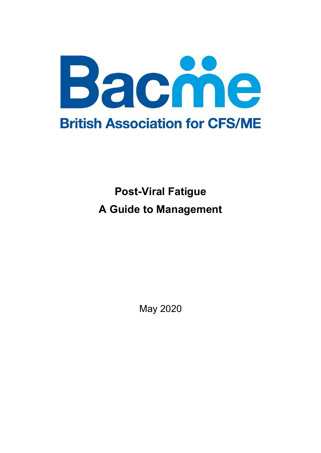

# Post-Viral Fatigue A Guide to Management

May 2020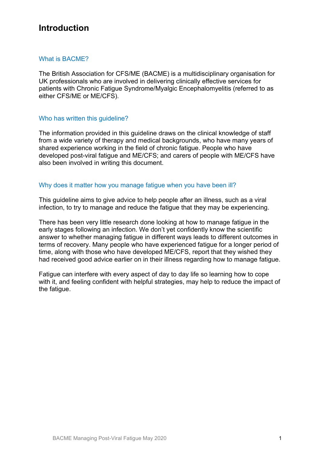## Introduction

#### What is BACME?

The British Association for CFS/ME (BACME) is a multidisciplinary organisation for UK professionals who are involved in delivering clinically effective services for patients with Chronic Fatigue Syndrome/Myalgic Encephalomyelitis (referred to as either CFS/ME or ME/CFS).

#### Who has written this guideline?

The information provided in this guideline draws on the clinical knowledge of staff from a wide variety of therapy and medical backgrounds, who have many years of shared experience working in the field of chronic fatigue. People who have developed post-viral fatigue and ME/CFS; and carers of people with ME/CFS have also been involved in writing this document.

#### Why does it matter how you manage fatigue when you have been ill?

This guideline aims to give advice to help people after an illness, such as a viral infection, to try to manage and reduce the fatigue that they may be experiencing.

There has been very little research done looking at how to manage fatigue in the early stages following an infection. We don't yet confidently know the scientific answer to whether managing fatigue in different ways leads to different outcomes in terms of recovery. Many people who have experienced fatigue for a longer period of time, along with those who have developed ME/CFS, report that they wished they had received good advice earlier on in their illness regarding how to manage fatigue.

Fatigue can interfere with every aspect of day to day life so learning how to cope with it, and feeling confident with helpful strategies, may help to reduce the impact of the fatigue.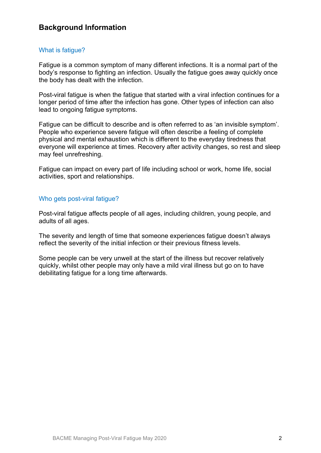## Background Information

#### What is fatigue?

Fatigue is a common symptom of many different infections. It is a normal part of the body's response to fighting an infection. Usually the fatigue goes away quickly once the body has dealt with the infection.

Post-viral fatigue is when the fatigue that started with a viral infection continues for a longer period of time after the infection has gone. Other types of infection can also lead to ongoing fatigue symptoms.

Fatigue can be difficult to describe and is often referred to as 'an invisible symptom'. People who experience severe fatigue will often describe a feeling of complete physical and mental exhaustion which is different to the everyday tiredness that everyone will experience at times. Recovery after activity changes, so rest and sleep may feel unrefreshing.

Fatigue can impact on every part of life including school or work, home life, social activities, sport and relationships.

#### Who gets post-viral fatigue?

Post-viral fatigue affects people of all ages, including children, young people, and adults of all ages.

The severity and length of time that someone experiences fatigue doesn't always reflect the severity of the initial infection or their previous fitness levels.

Some people can be very unwell at the start of the illness but recover relatively quickly, whilst other people may only have a mild viral illness but go on to have debilitating fatigue for a long time afterwards.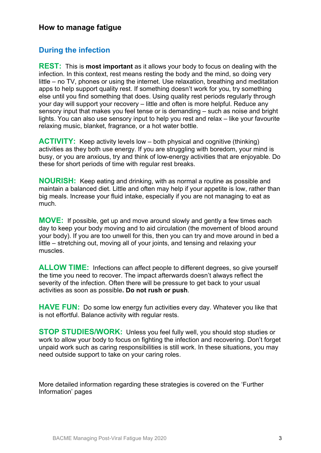### How to manage fatigue

#### During the infection

**REST:** This is **most important** as it allows your body to focus on dealing with the infection. In this context, rest means resting the body and the mind, so doing very little – no TV, phones or using the internet. Use relaxation, breathing and meditation apps to help support quality rest. If something doesn't work for you, try something else until you find something that does. Using quality rest periods regularly through your day will support your recovery – little and often is more helpful. Reduce any sensory input that makes you feel tense or is demanding – such as noise and bright lights. You can also use sensory input to help you rest and relax – like your favourite relaxing music, blanket, fragrance, or a hot water bottle.

ACTIVITY: Keep activity levels low – both physical and cognitive (thinking) activities as they both use energy. If you are struggling with boredom, your mind is busy, or you are anxious, try and think of low-energy activities that are enjoyable. Do these for short periods of time with regular rest breaks.

NOURISH: Keep eating and drinking, with as normal a routine as possible and maintain a balanced diet. Little and often may help if your appetite is low, rather than big meals. Increase your fluid intake, especially if you are not managing to eat as much.

MOVE: If possible, get up and move around slowly and gently a few times each day to keep your body moving and to aid circulation (the movement of blood around your body). If you are too unwell for this, then you can try and move around in bed a little – stretching out, moving all of your joints, and tensing and relaxing your muscles.

ALLOW TIME: Infections can affect people to different degrees, so give yourself the time you need to recover. The impact afterwards doesn't always reflect the severity of the infection. Often there will be pressure to get back to your usual activities as soon as possible. Do not rush or push.

HAVE FUN: Do some low energy fun activities every day. Whatever you like that is not effortful. Balance activity with regular rests.

STOP STUDIES/WORK: Unless you feel fully well, you should stop studies or work to allow your body to focus on fighting the infection and recovering. Don't forget unpaid work such as caring responsibilities is still work. In these situations, you may need outside support to take on your caring roles.

More detailed information regarding these strategies is covered on the 'Further Information' pages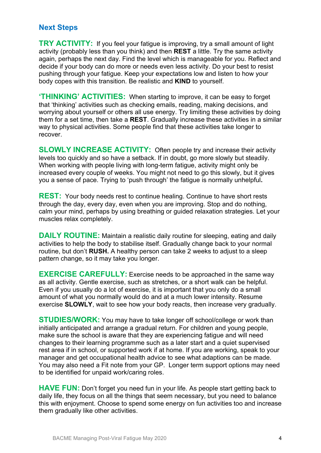## Next Steps

TRY ACTIVITY: If you feel your fatigue is improving, try a small amount of light activity (probably less than you think) and then REST a little. Try the same activity again, perhaps the next day. Find the level which is manageable for you. Reflect and decide if your body can do more or needs even less activity. Do your best to resist pushing through your fatigue. Keep your expectations low and listen to how your body copes with this transition. Be realistic and KIND to yourself.

'THINKING' ACTIVITIES: When starting to improve, it can be easy to forget that 'thinking' activities such as checking emails, reading, making decisions, and worrying about yourself or others all use energy. Try limiting these activities by doing them for a set time, then take a REST. Gradually increase these activities in a similar way to physical activities. Some people find that these activities take longer to recover.

SLOWLY INCREASE ACTIVITY: Often people try and increase their activity levels too quickly and so have a setback. If in doubt, go more slowly but steadily. When working with people living with long-term fatigue, activity might only be increased every couple of weeks. You might not need to go this slowly, but it gives you a sense of pace. Trying to 'push through' the fatigue is normally unhelpful.

**REST:** Your body needs rest to continue healing. Continue to have short rests through the day, every day, even when you are improving. Stop and do nothing, calm your mind, perhaps by using breathing or guided relaxation strategies. Let your muscles relax completely.

DAILY ROUTINE: Maintain a realistic daily routine for sleeping, eating and daily activities to help the body to stabilise itself. Gradually change back to your normal routine, but don't RUSH. A healthy person can take 2 weeks to adjust to a sleep pattern change, so it may take you longer.

EXERCISE CAREFULLY: Exercise needs to be approached in the same way as all activity. Gentle exercise, such as stretches, or a short walk can be helpful. Even if you usually do a lot of exercise, it is important that you only do a small amount of what you normally would do and at a much lower intensity. Resume exercise **SLOWLY**, wait to see how your body reacts, then increase very gradually.

**STUDIES/WORK:** You may have to take longer off school/college or work than initially anticipated and arrange a gradual return. For children and young people, make sure the school is aware that they are experiencing fatigue and will need changes to their learning programme such as a later start and a quiet supervised rest area if in school, or supported work if at home. If you are working, speak to your manager and get occupational health advice to see what adaptions can be made. You may also need a Fit note from your GP. Longer term support options may need to be identified for unpaid work/caring roles.

HAVE FUN: Don't forget you need fun in your life. As people start getting back to daily life, they focus on all the things that seem necessary, but you need to balance this with enjoyment. Choose to spend some energy on fun activities too and increase them gradually like other activities.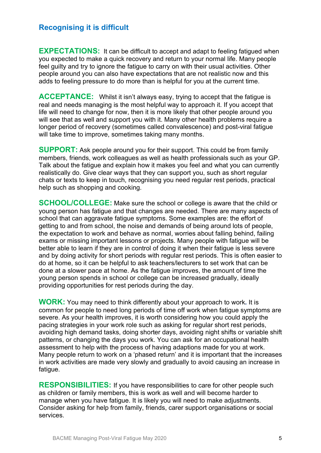## Recognising it is difficult

**EXPECTATIONS:** It can be difficult to accept and adapt to feeling fatigued when you expected to make a quick recovery and return to your normal life. Many people feel guilty and try to ignore the fatigue to carry on with their usual activities. Other people around you can also have expectations that are not realistic now and this adds to feeling pressure to do more than is helpful for you at the current time.

ACCEPTANCE: Whilst it isn't always easy, trying to accept that the fatigue is real and needs managing is the most helpful way to approach it. If you accept that life will need to change for now, then it is more likely that other people around you will see that as well and support you with it. Many other health problems require a longer period of recovery (sometimes called convalescence) and post-viral fatigue will take time to improve, sometimes taking many months.

**SUPPORT:** Ask people around you for their support. This could be from family members, friends, work colleagues as well as health professionals such as your GP. Talk about the fatigue and explain how it makes you feel and what you can currently realistically do. Give clear ways that they can support you, such as short regular chats or texts to keep in touch, recognising you need regular rest periods, practical help such as shopping and cooking.

SCHOOL/COLLEGE: Make sure the school or college is aware that the child or young person has fatigue and that changes are needed. There are many aspects of school that can aggravate fatigue symptoms. Some examples are: the effort of getting to and from school, the noise and demands of being around lots of people, the expectation to work and behave as normal, worries about falling behind, failing exams or missing important lessons or projects. Many people with fatigue will be better able to learn if they are in control of doing it when their fatigue is less severe and by doing activity for short periods with regular rest periods. This is often easier to do at home, so it can be helpful to ask teachers/lecturers to set work that can be done at a slower pace at home. As the fatigue improves, the amount of time the young person spends in school or college can be increased gradually, ideally providing opportunities for rest periods during the day.

**WORK:** You may need to think differently about your approach to work. It is common for people to need long periods of time off work when fatigue symptoms are severe. As your health improves, it is worth considering how you could apply the pacing strategies in your work role such as asking for regular short rest periods, avoiding high demand tasks, doing shorter days, avoiding night shifts or variable shift patterns, or changing the days you work. You can ask for an occupational health assessment to help with the process of having adaptions made for you at work. Many people return to work on a 'phased return' and it is important that the increases in work activities are made very slowly and gradually to avoid causing an increase in fatigue.

**RESPONSIBILITIES:** If you have responsibilities to care for other people such as children or family members, this is work as well and will become harder to manage when you have fatigue. It is likely you will need to make adjustments. Consider asking for help from family, friends, carer support organisations or social services.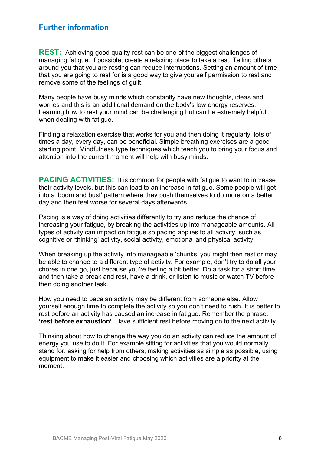## Further information

**REST:** Achieving good quality rest can be one of the biggest challenges of managing fatigue. If possible, create a relaxing place to take a rest. Telling others around you that you are resting can reduce interruptions. Setting an amount of time that you are going to rest for is a good way to give yourself permission to rest and remove some of the feelings of guilt.

Many people have busy minds which constantly have new thoughts, ideas and worries and this is an additional demand on the body's low energy reserves. Learning how to rest your mind can be challenging but can be extremely helpful when dealing with fatigue.

Finding a relaxation exercise that works for you and then doing it regularly, lots of times a day, every day, can be beneficial. Simple breathing exercises are a good starting point. Mindfulness type techniques which teach you to bring your focus and attention into the current moment will help with busy minds.

PACING ACTIVITIES: It is common for people with fatigue to want to increase their activity levels, but this can lead to an increase in fatigue. Some people will get into a 'boom and bust' pattern where they push themselves to do more on a better day and then feel worse for several days afterwards.

Pacing is a way of doing activities differently to try and reduce the chance of increasing your fatigue, by breaking the activities up into manageable amounts. All types of activity can impact on fatigue so pacing applies to all activity, such as cognitive or 'thinking' activity, social activity, emotional and physical activity.

When breaking up the activity into manageable 'chunks' you might then rest or may be able to change to a different type of activity. For example, don't try to do all your chores in one go, just because you're feeling a bit better. Do a task for a short time and then take a break and rest, have a drink, or listen to music or watch TV before then doing another task.

How you need to pace an activity may be different from someone else. Allow yourself enough time to complete the activity so you don't need to rush. It is better to rest before an activity has caused an increase in fatigue. Remember the phrase: 'rest before exhaustion'. Have sufficient rest before moving on to the next activity.

Thinking about how to change the way you do an activity can reduce the amount of energy you use to do it. For example sitting for activities that you would normally stand for, asking for help from others, making activities as simple as possible, using equipment to make it easier and choosing which activities are a priority at the moment.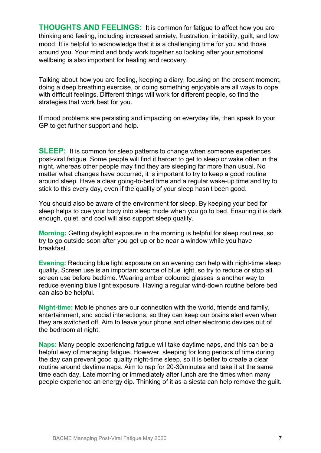THOUGHTS AND FEELINGS: It is common for fatigue to affect how you are thinking and feeling, including increased anxiety, frustration, irritability, guilt, and low mood. It is helpful to acknowledge that it is a challenging time for you and those around you. Your mind and body work together so looking after your emotional wellbeing is also important for healing and recovery.

Talking about how you are feeling, keeping a diary, focusing on the present moment, doing a deep breathing exercise, or doing something enjoyable are all ways to cope with difficult feelings. Different things will work for different people, so find the strategies that work best for you.

If mood problems are persisting and impacting on everyday life, then speak to your GP to get further support and help.

SLEEP: It is common for sleep patterns to change when someone experiences post-viral fatigue. Some people will find it harder to get to sleep or wake often in the night, whereas other people may find they are sleeping far more than usual. No matter what changes have occurred, it is important to try to keep a good routine around sleep. Have a clear going-to-bed time and a regular wake-up time and try to stick to this every day, even if the quality of your sleep hasn't been good.

You should also be aware of the environment for sleep. By keeping your bed for sleep helps to cue your body into sleep mode when you go to bed. Ensuring it is dark enough, quiet, and cool will also support sleep quality.

Morning: Getting daylight exposure in the morning is helpful for sleep routines, so try to go outside soon after you get up or be near a window while you have breakfast.

Evening: Reducing blue light exposure on an evening can help with night-time sleep quality. Screen use is an important source of blue light, so try to reduce or stop all screen use before bedtime. Wearing amber coloured glasses is another way to reduce evening blue light exposure. Having a regular wind-down routine before bed can also be helpful.

Night-time: Mobile phones are our connection with the world, friends and family, entertainment, and social interactions, so they can keep our brains alert even when they are switched off. Aim to leave your phone and other electronic devices out of the bedroom at night.

Naps: Many people experiencing fatigue will take daytime naps, and this can be a helpful way of managing fatigue. However, sleeping for long periods of time during the day can prevent good quality night-time sleep, so it is better to create a clear routine around daytime naps. Aim to nap for 20-30minutes and take it at the same time each day. Late morning or immediately after lunch are the times when many people experience an energy dip. Thinking of it as a siesta can help remove the guilt.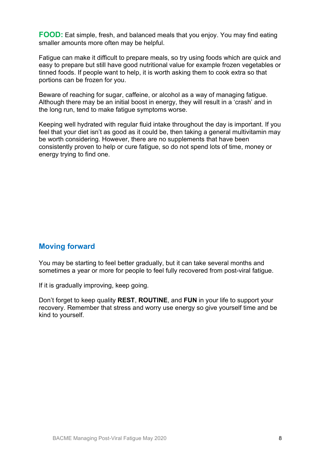FOOD: Eat simple, fresh, and balanced meals that you enjoy. You may find eating smaller amounts more often may be helpful.

Fatigue can make it difficult to prepare meals, so try using foods which are quick and easy to prepare but still have good nutritional value for example frozen vegetables or tinned foods. If people want to help, it is worth asking them to cook extra so that portions can be frozen for you.

Beware of reaching for sugar, caffeine, or alcohol as a way of managing fatigue. Although there may be an initial boost in energy, they will result in a 'crash' and in the long run, tend to make fatigue symptoms worse.

Keeping well hydrated with regular fluid intake throughout the day is important. If you feel that your diet isn't as good as it could be, then taking a general multivitamin may be worth considering. However, there are no supplements that have been consistently proven to help or cure fatigue, so do not spend lots of time, money or energy trying to find one.

#### Moving forward

You may be starting to feel better gradually, but it can take several months and sometimes a year or more for people to feel fully recovered from post-viral fatigue.

If it is gradually improving, keep going.

Don't forget to keep quality REST, ROUTINE, and FUN in your life to support your recovery. Remember that stress and worry use energy so give yourself time and be kind to yourself.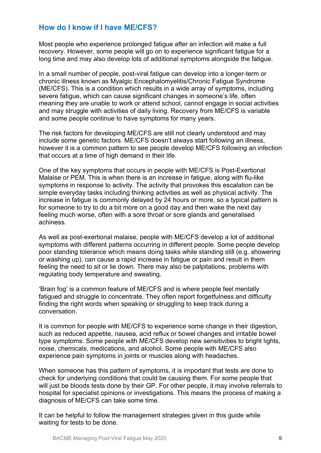#### How do I know if I have ME/CFS?

Most people who experience prolonged fatigue after an infection will make a full recovery. However, some people will go on to experience significant fatigue for a long time and may also develop lots of additional symptoms alongside the fatigue.

In a small number of people, post-viral fatigue can develop into a longer-term or chronic illness known as Myalgic Encephalomyelitis/Chronic Fatigue Syndrome (ME/CFS). This is a condition which results in a wide array of symptoms, including severe fatigue, which can cause significant changes in someone's life, often meaning they are unable to work or attend school, cannot engage in social activities and may struggle with activities of daily living. Recovery from ME/CFS is variable and some people continue to have symptoms for many years.

The risk factors for developing ME/CFS are still not clearly understood and may include some genetic factors. ME/CFS doesn't always start following an illness, however it is a common pattern to see people develop ME/CFS following an infection that occurs at a time of high demand in their life.

One of the key symptoms that occurs in people with ME/CFS is Post-Exertional Malaise or PEM. This is when there is an increase in fatigue, along with flu-like symptoms in response to activity. The activity that provokes this escalation can be simple everyday tasks including thinking activities as well as physical activity. The increase in fatigue is commonly delayed by 24 hours or more, so a typical pattern is for someone to try to do a bit more on a good day and then wake the next day feeling much worse, often with a sore throat or sore glands and generalised achiness.

As well as post-exertional malaise, people with ME/CFS develop a lot of additional symptoms with different patterns occurring in different people. Some people develop poor standing tolerance which means doing tasks while standing still (e.g. showering or washing up), can cause a rapid increase in fatigue or pain and result in them feeling the need to sit or lie down. There may also be palpitations, problems with regulating body temperature and sweating.

'Brain fog' is a common feature of ME/CFS and is where people feel mentally fatigued and struggle to concentrate. They often report forgetfulness and difficulty finding the right words when speaking or struggling to keep track during a conversation.

It is common for people with ME/CFS to experience some change in their digestion, such as reduced appetite, nausea, acid reflux or bowel changes and irritable bowel type symptoms. Some people with ME/CFS develop new sensitivities to bright lights, noise, chemicals, medications, and alcohol. Some people with ME/CFS also experience pain symptoms in joints or muscles along with headaches.

When someone has this pattern of symptoms, it is important that tests are done to check for underlying conditions that could be causing them. For some people that will just be bloods tests done by their GP. For other people, it may involve referrals to hospital for specialist opinions or investigations. This means the process of making a diagnosis of ME/CFS can take some time.

It can be helpful to follow the management strategies given in this guide while waiting for tests to be done.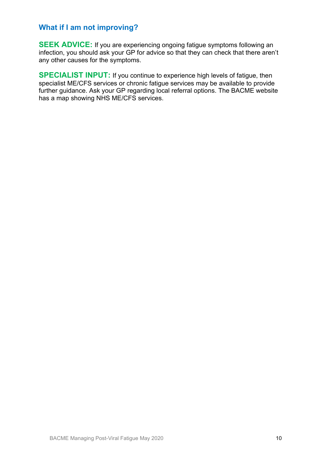## What if I am not improving?

SEEK ADVICE: If you are experiencing ongoing fatigue symptoms following an infection, you should ask your GP for advice so that they can check that there aren't any other causes for the symptoms.

SPECIALIST INPUT: If you continue to experience high levels of fatigue, then specialist ME/CFS services or chronic fatigue services may be available to provide further guidance. Ask your GP regarding local referral options. The BACME website has a map showing NHS ME/CFS services.